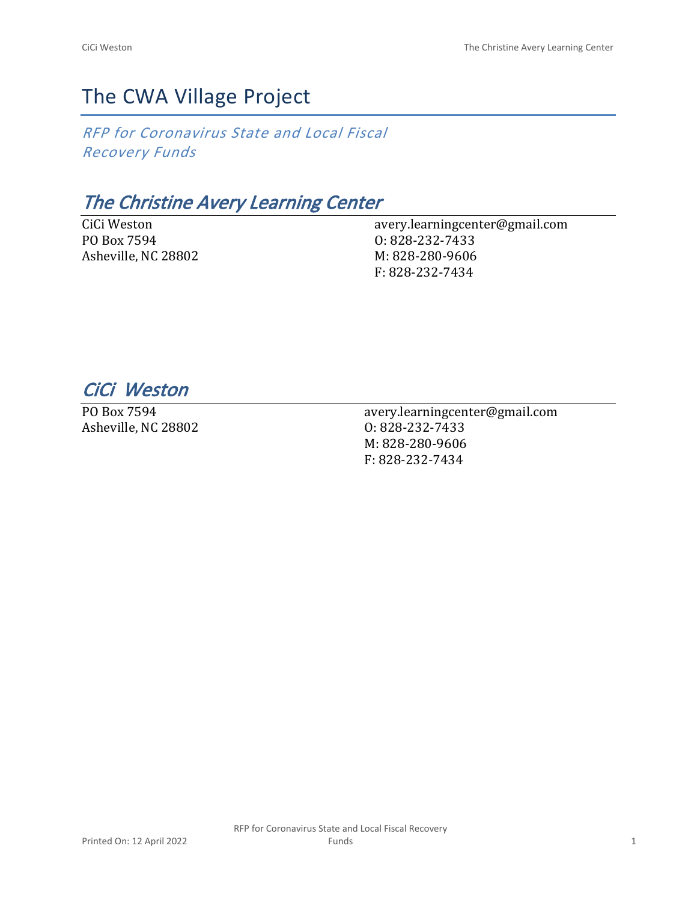# The CWA Village Project

*RFP for Coronavirus State and Local Fiscal Recovery Funds*

## *The Christine Avery Learning Center*

CiCi Weston PO Box 7594 Asheville, NC 28802 avery.learningcenter@gmail.com O: 828-232-7433 M: 828-280-9606 F: 828-232-7434

*CiCi Weston* 

PO Box 7594 Asheville, NC 28802 avery.learningcenter@gmail.com O: 828-232-7433 M: 828-280-9606 F: 828-232-7434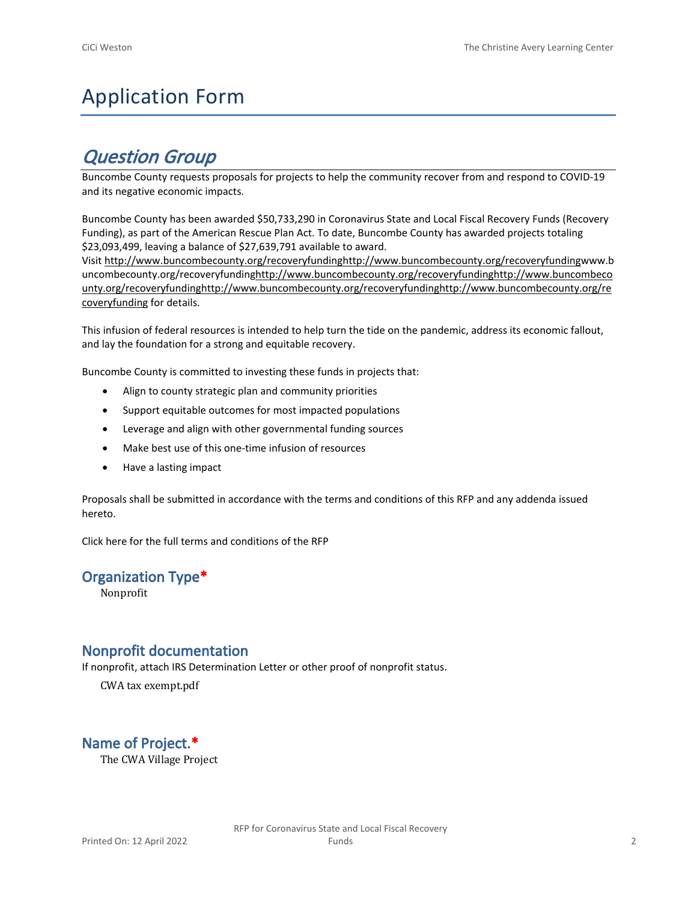# Application Form

## *Question Group*

Buncombe County requests proposals for projects to help the community recover from and respond to COVID-19 and its negative economic impacts.

Buncombe County has been awarded \$50,733,290 in Coronavirus State and Local Fiscal Recovery Funds (Recovery Funding), as part of the American Rescue Plan Act. To date, Buncombe County has awarded projects totaling \$23,093,499, leaving a balance of \$27,639,791 available to award.

Visit [http://www.buncombecounty.org/recoveryfundinghttp://www.buncombecounty.org/recoveryfundingwww.b](http://www.buncombecounty.org/recoveryfunding) [uncombecounty.org/recoveryfundinghttp://www.buncombecounty.org/recoveryfundinghttp://www.buncombeco](http://www.buncombecounty.org/recoveryfunding) [unty.org/recoveryfundinghttp://www.buncombecounty.org/recoveryfundinghttp://www.buncombecounty.org/re](http://www.buncombecounty.org/recoveryfunding) [coveryfunding](http://www.buncombecounty.org/recoveryfunding) for details.

This infusion of federal resources is intended to help turn the tide on the pandemic, address its economic fallout, and lay the foundation for a strong and equitable recovery.

Buncombe County is committed to investing these funds in projects that:

- Align to county strategic plan and community priorities
- Support equitable outcomes for most impacted populations
- Leverage and align with other governmental funding sources
- Make best use of this one-time infusion of resources
- Have a lasting impact

Proposals shall be submitted in accordance with the terms and conditions of this RFP and any addenda issued hereto.

Click [here](https://www.buncombecounty.org/common/purchasing/Buncombe%20Recovery%20Funding%20RFP%202022.pdf) for the full terms and conditions of the RFP

## **Organization Type\***

Nonprofit

## **Nonprofit documentation**

If nonprofit, attach IRS Determination Letter or other proof of nonprofit status.

CWA tax exempt.pdf

## **Name of Project.\***

The CWA Village Project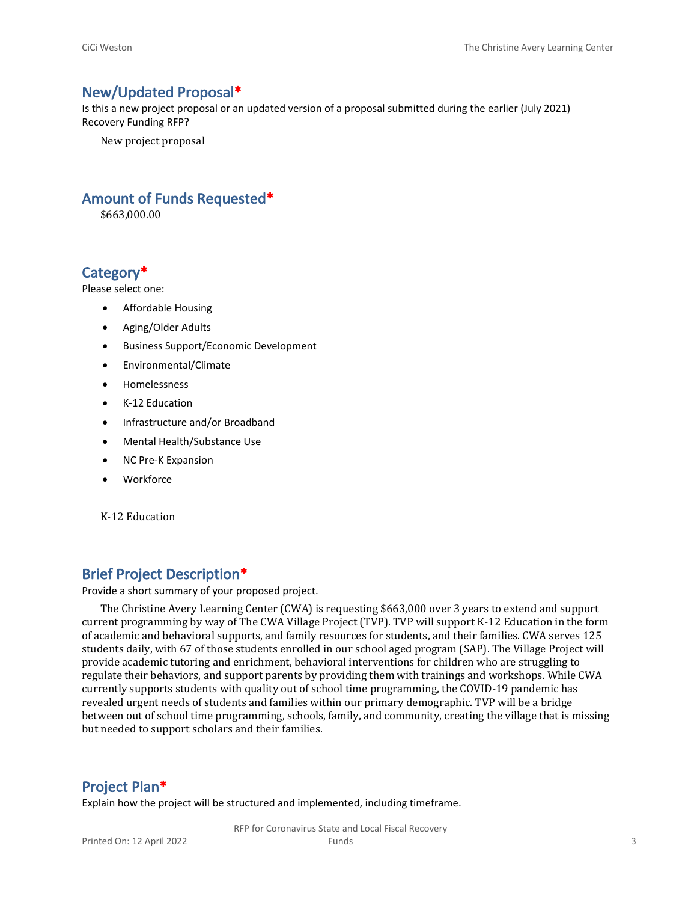#### **New/Updated Proposal\***

Is this a new project proposal or an updated version of a proposal submitted during the earlier (July 2021) Recovery Funding RFP?

New project proposal

## **Amount of Funds Requested\***

\$663,000.00

### **Category\***

Please select one:

- Affordable Housing
- Aging/Older Adults
- Business Support/Economic Development
- Environmental/Climate
- Homelessness
- K-12 Education
- Infrastructure and/or Broadband
- Mental Health/Substance Use
- NC Pre-K Expansion
- Workforce

K-12 Education

#### **Brief Project Description\***

Provide a short summary of your proposed project.

The Christine Avery Learning Center (CWA) is requesting \$663,000 over 3 years to extend and support current programming by way of The CWA Village Project (TVP). TVP will support K-12 Education in the form of academic and behavioral supports, and family resources for students, and their families. CWA serves 125 students daily, with 67 of those students enrolled in our school aged program (SAP). The Village Project will provide academic tutoring and enrichment, behavioral interventions for children who are struggling to regulate their behaviors, and support parents by providing them with trainings and workshops. While CWA currently supports students with quality out of school time programming, the COVID-19 pandemic has revealed urgent needs of students and families within our primary demographic. TVP will be a bridge between out of school time programming, schools, family, and community, creating the village that is missing but needed to support scholars and their families.

#### **Project Plan\***

Explain how the project will be structured and implemented, including timeframe.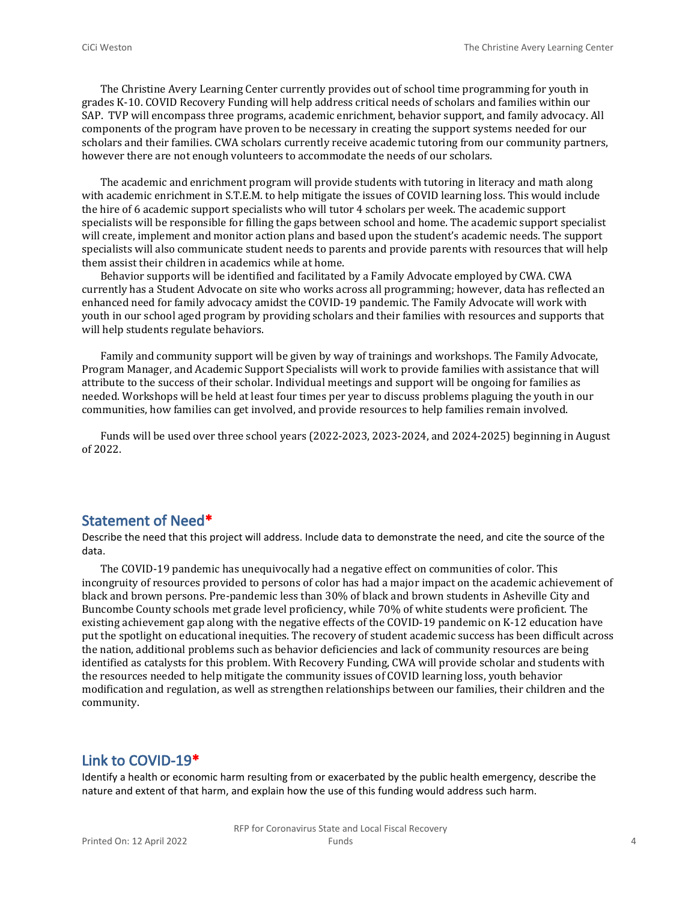The Christine Avery Learning Center currently provides out of school time programming for youth in grades K-10. COVID Recovery Funding will help address critical needs of scholars and families within our SAP. TVP will encompass three programs, academic enrichment, behavior support, and family advocacy. All components of the program have proven to be necessary in creating the support systems needed for our scholars and their families. CWA scholars currently receive academic tutoring from our community partners, however there are not enough volunteers to accommodate the needs of our scholars.

The academic and enrichment program will provide students with tutoring in literacy and math along with academic enrichment in S.T.E.M. to help mitigate the issues of COVID learning loss. This would include the hire of 6 academic support specialists who will tutor 4 scholars per week. The academic support specialists will be responsible for filling the gaps between school and home. The academic support specialist will create, implement and monitor action plans and based upon the student's academic needs. The support specialists will also communicate student needs to parents and provide parents with resources that will help them assist their children in academics while at home.

Behavior supports will be identified and facilitated by a Family Advocate employed by CWA. CWA currently has a Student Advocate on site who works across all programming; however, data has reflected an enhanced need for family advocacy amidst the COVID-19 pandemic. The Family Advocate will work with youth in our school aged program by providing scholars and their families with resources and supports that will help students regulate behaviors.

Family and community support will be given by way of trainings and workshops. The Family Advocate, Program Manager, and Academic Support Specialists will work to provide families with assistance that will attribute to the success of their scholar. Individual meetings and support will be ongoing for families as needed. Workshops will be held at least four times per year to discuss problems plaguing the youth in our communities, how families can get involved, and provide resources to help families remain involved.

Funds will be used over three school years (2022-2023, 2023-2024, and 2024-2025) beginning in August of 2022.

#### **Statement of Need\***

Describe the need that this project will address. Include data to demonstrate the need, and cite the source of the data.

The COVID-19 pandemic has unequivocally had a negative effect on communities of color. This incongruity of resources provided to persons of color has had a major impact on the academic achievement of black and brown persons. Pre-pandemic less than 30% of black and brown students in Asheville City and Buncombe County schools met grade level proficiency, while 70% of white students were proficient. The existing achievement gap along with the negative effects of the COVID-19 pandemic on K-12 education have put the spotlight on educational inequities. The recovery of student academic success has been difficult across the nation, additional problems such as behavior deficiencies and lack of community resources are being identified as catalysts for this problem. With Recovery Funding, CWA will provide scholar and students with the resources needed to help mitigate the community issues of COVID learning loss, youth behavior modification and regulation, as well as strengthen relationships between our families, their children and the community.

## **Link to COVID-19\***

Identify a health or economic harm resulting from or exacerbated by the public health emergency, describe the nature and extent of that harm, and explain how the use of this funding would address such harm.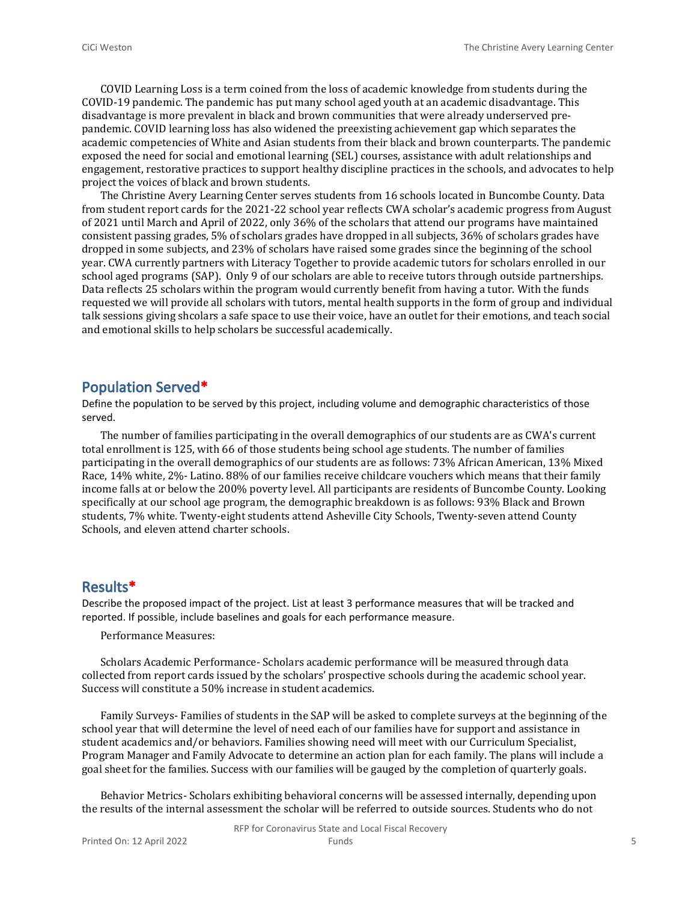COVID Learning Loss is a term coined from the loss of academic knowledge from students during the COVID-19 pandemic. The pandemic has put many school aged youth at an academic disadvantage. This disadvantage is more prevalent in black and brown communities that were already underserved prepandemic. COVID learning loss has also widened the preexisting achievement gap which separates the academic competencies of White and Asian students from their black and brown counterparts. The pandemic exposed the need for social and emotional learning (SEL) courses, assistance with adult relationships and engagement, restorative practices to support healthy discipline practices in the schools, and advocates to help project the voices of black and brown students.

The Christine Avery Learning Center serves students from 16 schools located in Buncombe County. Data from student report cards for the 2021-22 school year reflects CWA scholar's academic progress from August of 2021 until March and April of 2022, only 36% of the scholars that attend our programs have maintained consistent passing grades, 5% of scholars grades have dropped in all subjects, 36% of scholars grades have dropped in some subjects, and 23% of scholars have raised some grades since the beginning of the school year. CWA currently partners with Literacy Together to provide academic tutors for scholars enrolled in our school aged programs (SAP). Only 9 of our scholars are able to receive tutors through outside partnerships. Data reflects 25 scholars within the program would currently benefit from having a tutor. With the funds requested we will provide all scholars with tutors, mental health supports in the form of group and individual talk sessions giving shcolars a safe space to use their voice, have an outlet for their emotions, and teach social and emotional skills to help scholars be successful academically.

#### **Population Served\***

Define the population to be served by this project, including volume and demographic characteristics of those served.

The number of families participating in the overall demographics of our students are as CWA's current total enrollment is 125, with 66 of those students being school age students. The number of families participating in the overall demographics of our students are as follows: 73% African American, 13% Mixed Race, 14% white, 2%- Latino. 88% of our families receive childcare vouchers which means that their family income falls at or below the 200% poverty level. All participants are residents of Buncombe County. Looking specifically at our school age program, the demographic breakdown is as follows: 93% Black and Brown students, 7% white. Twenty-eight students attend Asheville City Schools, Twenty-seven attend County Schools, and eleven attend charter schools.

### **Results\***

Describe the proposed impact of the project. List at least 3 performance measures that will be tracked and reported. If possible, include baselines and goals for each performance measure.

Performance Measures:

Scholars Academic Performance- Scholars academic performance will be measured through data collected from report cards issued by the scholars' prospective schools during the academic school year. Success will constitute a 50% increase in student academics.

Family Surveys- Families of students in the SAP will be asked to complete surveys at the beginning of the school year that will determine the level of need each of our families have for support and assistance in student academics and/or behaviors. Families showing need will meet with our Curriculum Specialist, Program Manager and Family Advocate to determine an action plan for each family. The plans will include a goal sheet for the families. Success with our families will be gauged by the completion of quarterly goals.

Behavior Metrics- Scholars exhibiting behavioral concerns will be assessed internally, depending upon the results of the internal assessment the scholar will be referred to outside sources. Students who do not

RFP for Coronavirus State and Local Fiscal Recovery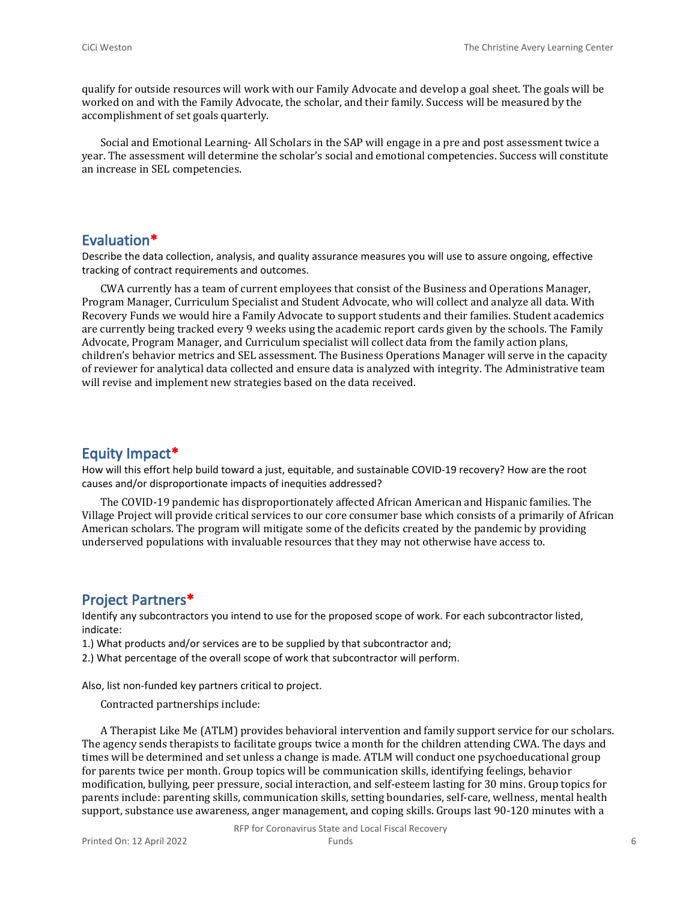qualify for outside resources will work with our Family Advocate and develop a goal sheet. The goals will be worked on and with the Family Advocate, the scholar, and their family. Success will be measured by the accomplishment of set goals quarterly.

Social and Emotional Learning- All Scholars in the SAP will engage in a pre and post assessment twice a year. The assessment will determine the scholar's social and emotional competencies. Success will constitute an increase in SEL competencies.

#### **Evaluation\***

Describe the data collection, analysis, and quality assurance measures you will use to assure ongoing, effective tracking of contract requirements and outcomes.

CWA currently has a team of current employees that consist of the Business and Operations Manager, Program Manager, Curriculum Specialist and Student Advocate, who will collect and analyze all data. With Recovery Funds we would hire a Family Advocate to support students and their families. Student academics are currently being tracked every 9 weeks using the academic report cards given by the schools. The Family Advocate, Program Manager, and Curriculum specialist will collect data from the family action plans, children's behavior metrics and SEL assessment. The Business Operations Manager will serve in the capacity of reviewer for analytical data collected and ensure data is analyzed with integrity. The Administrative team will revise and implement new strategies based on the data received.

#### **Equity Impact\***

How will this effort help build toward a just, equitable, and sustainable COVID-19 recovery? How are the root causes and/or disproportionate impacts of inequities addressed?

The COVID-19 pandemic has disproportionately affected African American and Hispanic families. The Village Project will provide critical services to our core consumer base which consists of a primarily of African American scholars. The program will mitigate some of the deficits created by the pandemic by providing underserved populations with invaluable resources that they may not otherwise have access to.

#### **Project Partners\***

Identify any subcontractors you intend to use for the proposed scope of work. For each subcontractor listed, indicate:

1.) What products and/or services are to be supplied by that subcontractor and;

2.) What percentage of the overall scope of work that subcontractor will perform.

Also, list non-funded key partners critical to project.

Contracted partnerships include:

A Therapist Like Me (ATLM) provides behavioral intervention and family support service for our scholars. The agency sends therapists to facilitate groups twice a month for the children attending CWA. The days and times will be determined and set unless a change is made. ATLM will conduct one psychoeducational group for parents twice per month. Group topics will be communication skills, identifying feelings, behavior modification, bullying, peer pressure, social interaction, and self-esteem lasting for 30 mins. Group topics for parents include: parenting skills, communication skills, setting boundaries, self-care, wellness, mental health support, substance use awareness, anger management, and coping skills. Groups last 90-120 minutes with a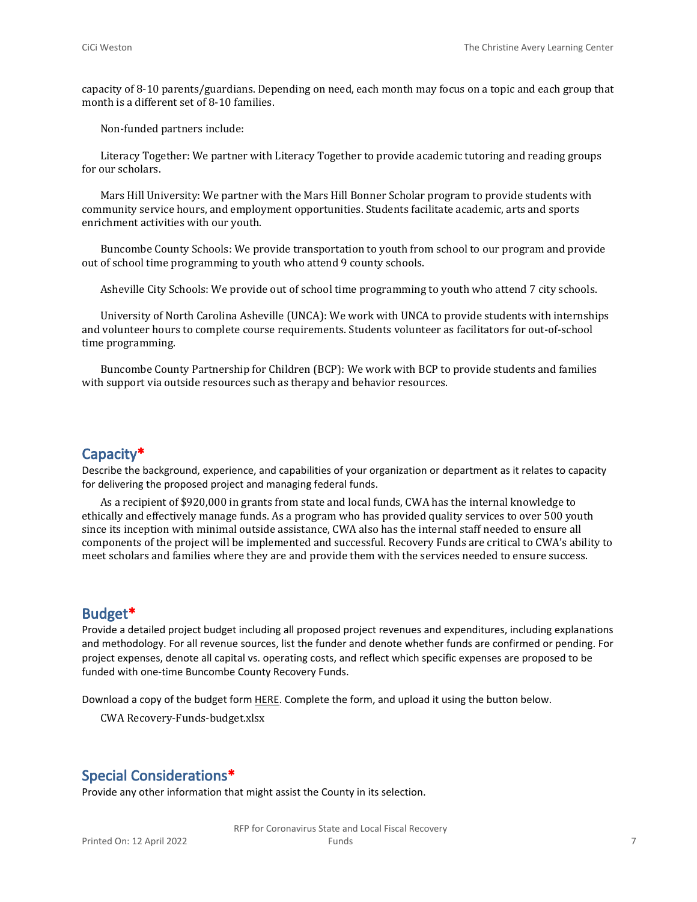capacity of 8-10 parents/guardians. Depending on need, each month may focus on a topic and each group that month is a different set of 8-10 families.

Non-funded partners include:

Literacy Together: We partner with Literacy Together to provide academic tutoring and reading groups for our scholars.

Mars Hill University: We partner with the Mars Hill Bonner Scholar program to provide students with community service hours, and employment opportunities. Students facilitate academic, arts and sports enrichment activities with our youth.

Buncombe County Schools: We provide transportation to youth from school to our program and provide out of school time programming to youth who attend 9 county schools.

Asheville City Schools: We provide out of school time programming to youth who attend 7 city schools.

University of North Carolina Asheville (UNCA): We work with UNCA to provide students with internships and volunteer hours to complete course requirements. Students volunteer as facilitators for out-of-school time programming.

Buncombe County Partnership for Children (BCP): We work with BCP to provide students and families with support via outside resources such as therapy and behavior resources.

#### **Capacity\***

Describe the background, experience, and capabilities of your organization or department as it relates to capacity for delivering the proposed project and managing federal funds.

As a recipient of \$920,000 in grants from state and local funds, CWA has the internal knowledge to ethically and effectively manage funds. As a program who has provided quality services to over 500 youth since its inception with minimal outside assistance, CWA also has the internal staff needed to ensure all components of the project will be implemented and successful. Recovery Funds are critical to CWA's ability to meet scholars and families where they are and provide them with the services needed to ensure success.

#### **Budget\***

Provide a detailed project budget including all proposed project revenues and expenditures, including explanations and methodology. For all revenue sources, list the funder and denote whether funds are confirmed or pending. For project expenses, denote all capital vs. operating costs, and reflect which specific expenses are proposed to be funded with one-time Buncombe County Recovery Funds.

Download a copy of the budget form [HERE](https://buncombecounty.org/common/community-investment/grants/early-childhood-education/Recovery-Funds-budget-template.xlsx). Complete the form, and upload it using the button below.

CWA Recovery-Funds-budget.xlsx

## **Special Considerations\***

Provide any other information that might assist the County in its selection.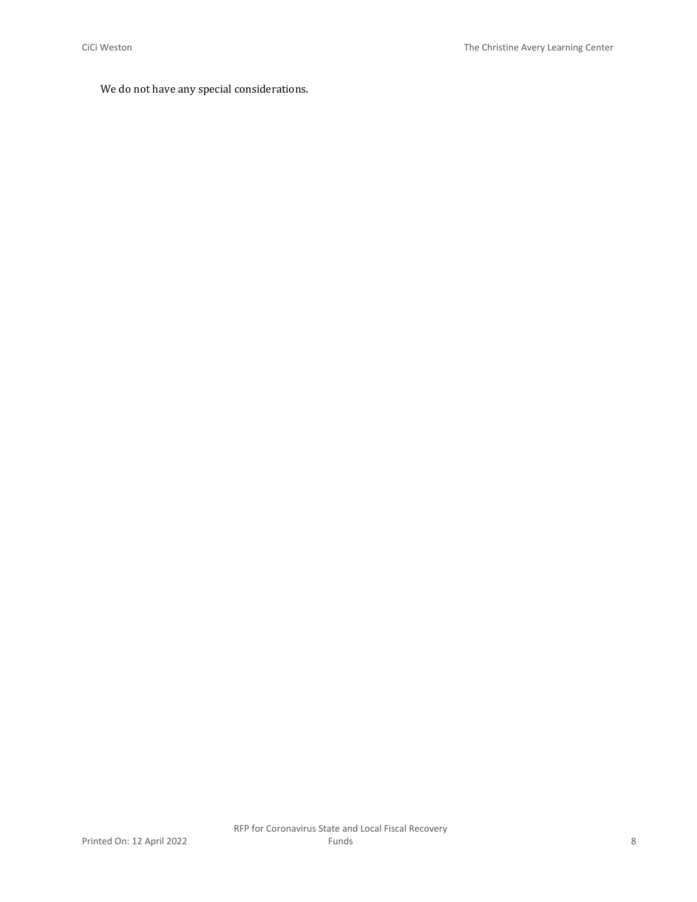## We do not have any special considerations.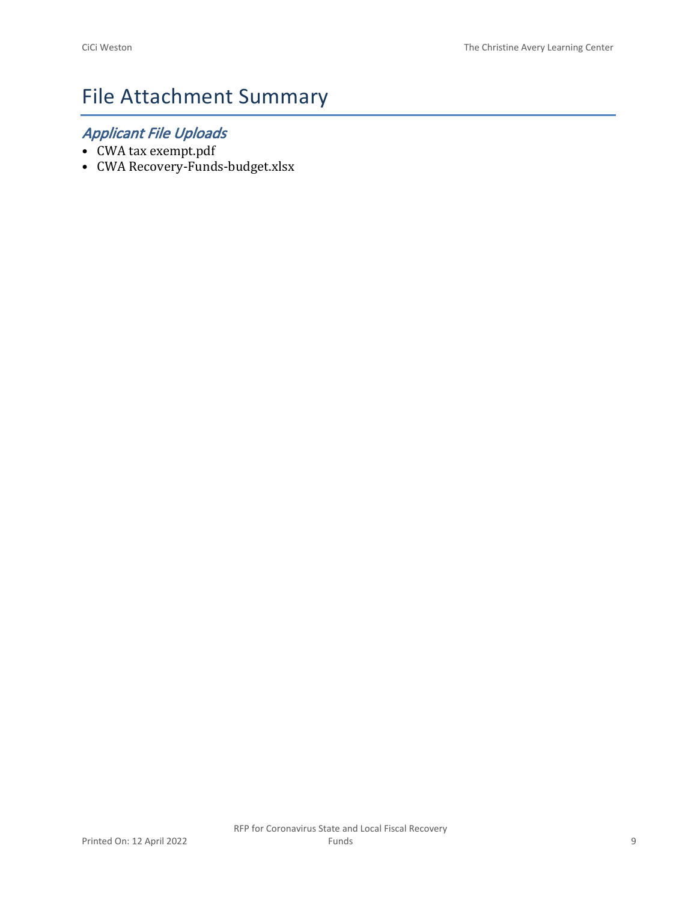# File Attachment Summary

## *Applicant File Uploads*

- CWA tax exempt.pdf
- CWA Recovery-Funds-budget.xlsx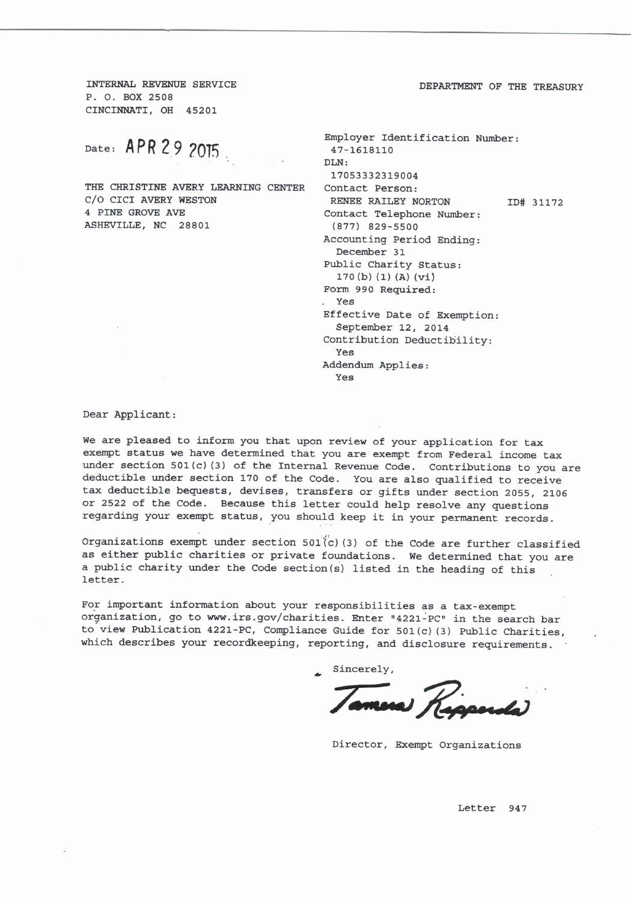INTERNAL REVENUE SERVICE P. O. BOX 2508 CINCINNATI, OH 45201

Date: APR 29 2015

THE CHRISTINE AVERY LEARNING CENTER C/O CICI AVERY WESTON 4 PINE GROVE AVE ASHEVILLE, NC 28801

Employer Identification Number: 47-1618110 DLN: 17053332319004 Contact Person: RENEE RAILEY NORTON ID# 31172 Contact Telephone Number:  $(877)$  829-5500 Accounting Period Ending: December 31 Public Charity Status:  $170(b) (1) (A) (vi)$ Form 990 Required: . Yes Effective Date of Exemption: September 12, 2014 Contribution Deductibility: Yes Addendum Applies: Yes

Dear Applicant:

We are pleased to inform you that upon review of your application for tax exempt status we have determined that you are exempt from Federal income tax under section 501(c) (3) of the Internal Revenue Code. Contributions to you are deductible under section 170 of the Code. You are also qualified to receive tax deductible bequests, devises, transfers or gifts under section 2055, 2106 or 2522 of the Code. Because this letter could help resolve any questions regarding your exempt status, you should keep it in your permanent records.

Organizations exempt under section  $501(c)$  (3) of the Code are further classified as either public charities or private foundations. We determined that you are a public charity under the Code section(s) listed in the heading of this letter.

For important information about your responsibilities as a tax-exempt organization, go to www.irs.gov/charities. Enter "4221-PC" in the search bar to view Publication 4221-PC, Compliance Guide for 501(c)(3) Public Charities, which describes your recordkeeping, reporting, and disclosure requirements.

Sincerely,

Director, Exempt Organizations

Letter 947

DEPARTMENT OF THE TREASURY